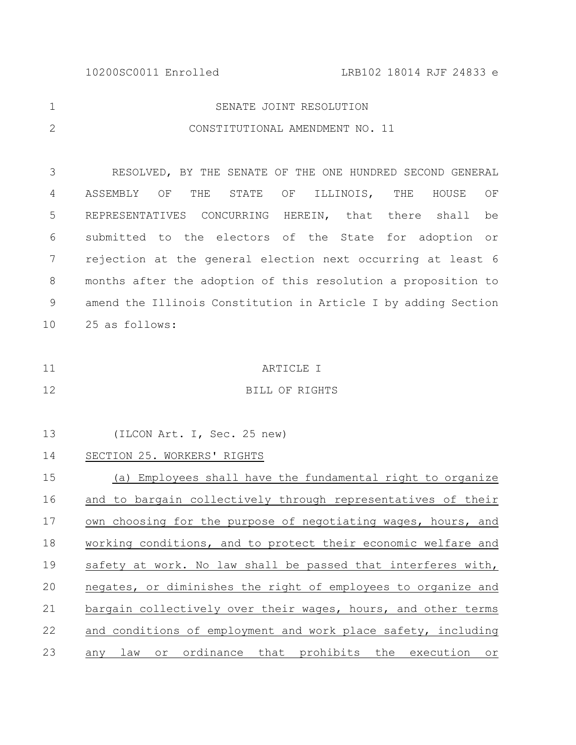| SENATE JOINT RESOLUTION         |
|---------------------------------|
| CONSTITUTIONAL AMENDMENT NO. 11 |

RESOLVED, BY THE SENATE OF THE ONE HUNDRED SECOND GENERAL ASSEMBLY OF THE STATE OF ILLINOIS, THE HOUSE OF REPRESENTATIVES CONCURRING HEREIN, that there shall be submitted to the electors of the State for adoption or rejection at the general election next occurring at least 6 months after the adoption of this resolution a proposition to amend the Illinois Constitution in Article I by adding Section 25 as follows: 3 4 5 6 7 8 9 10

ARTICLE I 11

12

## BILL OF RIGHTS

| 13 | (ILCON Art. I, Sec. 25 new)                                   |
|----|---------------------------------------------------------------|
| 14 | SECTION 25. WORKERS' RIGHTS                                   |
| 15 | (a) Employees shall have the fundamental right to organize    |
| 16 | and to bargain collectively through representatives of their  |
| 17 | own choosing for the purpose of negotiating wages, hours, and |
| 18 | working conditions, and to protect their economic welfare and |
| 19 | safety at work. No law shall be passed that interferes with,  |
| 20 | negates, or diminishes the right of employees to organize and |
| 21 | bargain collectively over their wages, hours, and other terms |
| 22 | and conditions of employment and work place safety, including |
| 23 | any law or ordinance that prohibits the execution or          |